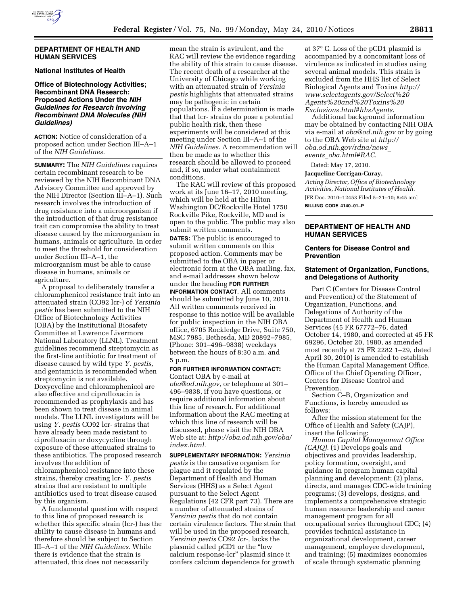

#### **DEPARTMENT OF HEALTH AND HUMAN SERVICES**

# **National Institutes of Health**

# **Office of Biotechnology Activities; Recombinant DNA Research: Proposed Actions Under the** *NIH Guidelines for Research Involving Recombinant DNA Molecules (NIH Guidelines)*

**ACTION:** Notice of consideration of a proposed action under Section III–A–1 of the *NIH Guidelines.* 

**SUMMARY:** The *NIH Guidelines* requires certain recombinant research to be reviewed by the NIH Recombinant DNA Advisory Committee and approved by the NIH Director (Section III–A–1). Such research involves the introduction of drug resistance into a microorganism if the introduction of that drug resistance trait can compromise the ability to treat disease caused by the microorganism in humans, animals or agriculture. In order to meet the threshold for consideration under Section III–A–1, the microorganism must be able to cause disease in humans, animals or agriculture.

A proposal to deliberately transfer a chloramphenicol resistance trait into an attenuated strain (CO92 lcr-) of *Yersinia pestis* has been submitted to the NIH Office of Biotechnology Activities (OBA) by the Institutional Biosafety Committee at Lawrence Livermore National Laboratory (LLNL). Treatment guidelines recommend streptomycin as the first-line antibiotic for treatment of disease caused by wild type *Y. pestis,*  and gentamicin is recommended when streptomycin is not available. Doxycycline and chloramphenicol are also effective and ciprofloxacin is recommended as prophylaxis and has been shown to treat disease in animal models. The LLNL investigators will be using *Y. pestis* CO92 lcr- strains that have already been made resistant to ciprofloxacin or doxycycline through exposure of these attenuated strains to these antibiotics. The proposed research involves the addition of chloramphenicol resistance into these strains, thereby creating lcr- *Y. pestis*  strains that are resistant to multiple antibiotics used to treat disease caused by this organism.

A fundamental question with respect to this line of proposed research is whether this specific strain (lcr-) has the ability to cause disease in humans and therefore should be subject to Section III–A–1 of the *NIH Guidelines.* While there is evidence that the strain is attenuated, this does not necessarily

mean the strain is avirulent, and the RAC will review the evidence regarding the ability of this strain to cause disease. The recent death of a researcher at the University of Chicago while working with an attenuated strain of *Yersinia pestis* highlights that attenuated strains may be pathogenic in certain populations. If a determination is made that that lcr- strains do pose a potential public health risk, then these experiments will be considered at this meeting under Section III–A–1 of the *NIH Guidelines.* A recommendation will then be made as to whether this research should be allowed to proceed and, if so, under what containment conditions.

The RAC will review of this proposed work at its June 16–17, 2010 meeting, which will be held at the Hilton Washington DC/Rockville Hotel 1750 Rockville Pike, Rockville, MD and is open to the public. The public may also submit written comments.

**DATES:** The public is encouraged to submit written comments on this proposed action. Comments may be submitted to the OBA in paper or electronic form at the OBA mailing, fax, and e-mail addresses shown below under the heading **FOR FURTHER**

**INFORMATION CONTACT**. All comments should be submitted by June 10, 2010. All written comments received in response to this notice will be available for public inspection in the NIH OBA office, 6705 Rockledge Drive, Suite 750, MSC 7985, Bethesda, MD 20892–7985, (Phone: 301–496–9838) weekdays between the hours of 8:30 a.m. and 5 p.m.

# **FOR FURTHER INFORMATION CONTACT:**

Contact OBA by e-mail at *oba@od.nih.gov,* or telephone at 301– 496–9838, if you have questions, or require additional information about this line of research. For additional information about the RAC meeting at which this line of research will be discussed, please visit the NIH OBA Web site at: *http://oba.od.nih.gov/oba/ index.html.* 

**SUPPLEMENTARY INFORMATION:** *Yersinia pestis* is the causative organism for plague and it regulated by the Department of Health and Human Services (HHS) as a Select Agent pursuant to the Select Agent Regulations (42 CFR part 73). There are a number of attenuated strains of *Yersinia pestis* that do not contain certain virulence factors. The strain that will be used in the proposed research, *Yersinia pestis* CO92 *lcr-,* lacks the plasmid called pCD1 or the ''low calcium response-lcr'' plasmid since it confers calcium dependence for growth

at 37° C. Loss of the pCD1 plasmid is accompanied by a concomitant loss of virulence as indicated in studies using several animal models. This strain is excluded from the HHS list of Select Biological Agents and Toxins *http:// www.selectagents.gov/Select%20 Agents%20and%20Toxins%20 Exclusions.html#hhsAgents.* 

Additional background information may be obtained by contacting NIH OBA via e-mail at *oba@od.nih.gov* or by going to the OBA Web site at *http:// oba.od.nih.gov/rdna/news*\_ *events*\_*oba.html#RAC.* 

Dated: May 17, 2010.

#### **Jacqueline Corrigan-Curay,**

*Acting Director, Office of Biotechnology Activities, National Institutes of Health.*  [FR Doc. 2010–12453 Filed 5–21–10; 8:45 am]

**BILLING CODE 4140–01–P** 

# **DEPARTMENT OF HEALTH AND HUMAN SERVICES**

# **Centers for Disease Control and Prevention**

#### **Statement of Organization, Functions, and Delegations of Authority**

Part C (Centers for Disease Control and Prevention) of the Statement of Organization, Functions, and Delegations of Authority of the Department of Health and Human Services (45 FR 67772–76, dated October 14, 1980, and corrected at 45 FR 69296, October 20, 1980, as amended most recently at 75 FR 2282 1–29, dated April 30, 2010) is amended to establish the Human Capital Management Office, Office of the Chief Operating Officer, Centers for Disease Control and Prevention.

Section C–B, Organization and Functions, is hereby amended as follows:

After the mission statement for the Office of Health and Safety (CAJP), insert the following:

*Human Capital Management Office (CAJQ).* (1) Develops goals and objectives and provides leadership, policy formation, oversight, and guidance in program human capital planning and development; (2) plans, directs, and manages CDC-wide training programs; (3) develops, designs, and implements a comprehensive strategic human resource leadership and career management program for all occupational series throughout CDC; (4) provides technical assistance in organizational development, career management, employee development, and training; (5) maximizes economies of scale through systematic planning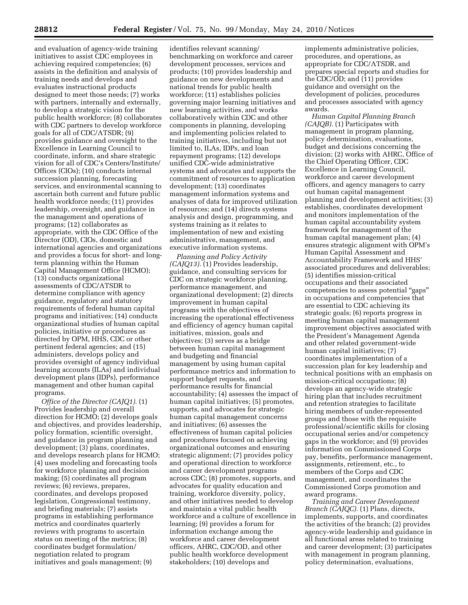and evaluation of agency-wide training initiatives to assist CDC employees in achieving required competencies; (6) assists in the definition and analysis of training needs and develops and evaluates instructional products designed to meet those needs; (7) works with partners, internally and externally, to develop a strategic vision for the public health workforce; (8) collaborates with CDC partners to develop workforce goals for all of CDC/ATSDR; (9) provides guidance and oversight to the Excellence in Learning Council to coordinate, inform, and share strategic vision for all of CDC's Centers/Institute/ Offices (CIOs); (10) conducts internal succession planning, forecasting services, and environmental scanning to ascertain both current and future public health workforce needs; (11) provides leadership, oversight, and guidance in the management and operations of programs; (12) collaborates as appropriate, with the CDC Office of the Director (OD), CIOs, domestic and international agencies and organizations and provides a focus for short- and longterm planning within the Human Capital Management Office (HCMO); (13) conducts organizational assessments of CDC/ATSDR to determine compliance with agency guidance, regulatory and statutory requirements of federal human capital programs and initiatives; (14) conducts organizational studies of human capital policies, initiative or procedures as directed by OPM, HHS, CDC or other pertinent federal agencies; and (15) administers, develops policy and provides oversight of agency individual learning accounts (ILAs) and individual development plans (IDPs), performance management and other human capital programs.

*Office of the Director (CAJQ1).* (1) Provides leadership and overall direction for HCMO; (2) develops goals and objectives, and provides leadership, policy formation, scientific oversight, and guidance in program planning and development; (3) plans, coordinates, and develops research plans for HCMO; (4) uses modeling and forecasting tools for workforce planning and decision making; (5) coordinates all program reviews; (6) reviews, prepares, coordinates, and develops proposed legislation, Congressional testimony, and briefing materials; (7) assists programs in establishing performance metrics and coordinates quarterly reviews with programs to ascertain status on meeting of the metrics; (8) coordinates budget formulation/ negotiation related to program initiatives and goals management; (9)

identifies relevant scanning/ benchmarking on workforce and career development processes, services and products; (10) provides leadership and guidance on new developments and national trends for public health workforce; (11) establishes policies governing major learning initiatives and new learning activities, and works collaboratively within CDC and other components in planning, developing and implementing policies related to training initiatives, including but not limited to, ILAs, IDPs, and loan repayment programs; (12) develops unified CDC-wide administrative systems and advocates and supports the commitment of resources to application development; (13) coordinates management information systems and analyses of data for improved utilization of resources; and (14) directs systems analysis and design, programming, and systems training as it relates to implementation of new and existing administrative, management, and executive information systems.

*Planning and Policy Activity (CAJQ13).* (1) Provides leadership, guidance, and consulting services for CDC on strategic workforce planning, performance management, and organizational development; (2) directs improvement in human capital programs with the objectives of increasing the operational effectiveness and efficiency of agency human capital initiatives, mission, goals and objectives; (3) serves as a bridge between human capital management and budgeting and financial management by using human capital performance metrics and information to support budget requests, and performance results for financial accountability; (4) assesses the impact of human capital initiatives; (5) promotes, supports, and advocates for strategic human capital management concerns and initiatives; (6) assesses the effectiveness of human capital policies and procedures focused on achieving organizational outcomes and ensuring strategic alignment; (7) provides policy and operational direction to workforce and career development programs across CDC; (8) promotes, supports, and advocates for quality education and training, workforce diversity, policy, and other initiatives needed to develop and maintain a vital public health workforce and a culture of excellence in learning; (9) provides a forum for information exchange among the workforce and career development officers, AHRC, CDC/OD, and other public health workforce development stakeholders; (10) develops and

implements administrative policies, procedures, and operations, as appropriate for CDC/ATSDR, and prepares special reports and studies for the CDC/OD; and (11) provides guidance and oversight on the development of policies, procedures and processes associated with agency awards.

*Human Capital Planning Branch (CAJQB).* (1) Participates with management in program planning, policy determination, evaluations, budget and decisions concerning the division; (2) works with AHRC, Office of the Chief Operating Officer, CDC Excellence in Learning Council, workforce and career development officers, and agency managers to carry out human capital management planning and development activities; (3) establishes, coordinates development and monitors implementation of the human capital accountability system framework for management of the human capital management plan; (4) ensures strategic alignment with OPM's Human Capital Assessment and Accountability Framework and HHS' associated procedures and deliverables; (5) identifies mission-critical occupations and their associated competencies to assess potential ''gaps'' in occupations and competencies that are essential to CDC achieving its strategic goals; (6) reports progress in meeting human capital management improvement objectives associated with the President's Management Agenda and other related government-wide human capital initiatives; (7) coordinates implementation of a succession plan for key leadership and technical positions with an emphasis on mission-critical occupations; (8) develops an agency-wide strategic hiring plan that includes recruitment and retention strategies to facilitate hiring members of under-represented groups and those with the requisite professional/scientific skills for closing occupational series and/or competency gaps in the workforce; and (9) provides information on Commissioned Corps pay, benefits, performance management, assignments, retirement, etc., to members of the Corps and CDC management, and coordinates the Commissioned Corps promotion and award programs.

*Training and Career Development Branch (CAJQC).* (1) Plans, directs, implements, supports, and coordinates the activities of the branch; (2) provides agency-wide leadership and guidance in all functional areas related to training and career development; (3) participates with management in program planning, policy determination, evaluations,